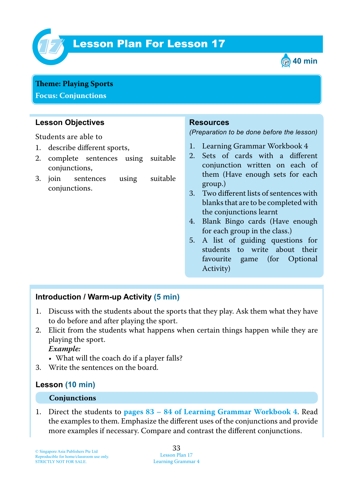

# **Lesson Plan For Lesson 17**



**Theme: Playing Sports Focus: Conjunctions**

## **Lesson Objectives**

Students are able to

- 1. describe different sports,
- 2. complete sentences using suitable conjunctions,
- 3. join sentences using suitable conjunctions.

#### **Resources**

*(Preparation to be done before the lesson)*

- 1. Learning Grammar Workbook 4
- 2. Sets of cards with a different conjunction written on each of them (Have enough sets for each group.)
- 3. Two different lists of sentences with blanks that are to be completed with the conjunctions learnt
- 4. Blank Bingo cards (Have enough for each group in the class.)
- 5. A list of guiding questions for students to write about their favourite game (for Optional Activity)

## **Introduction / Warm-up Activity (5 min)**

- 1. Discuss with the students about the sports that they play. Ask them what they have to do before and after playing the sport.
- 2. Elicit from the students what happens when certain things happen while they are playing the sport.

 *Example:*

- What will the coach do if a player falls?
- 3. Write the sentences on the board.

#### **Lesson (10 min)**

#### **Conjunctions**

1. Direct the students to **pages 83 – 84 of Learning Grammar Workbook 4**. Read the examples to them. Emphasize the different uses of the conjunctions and provide more examples if necessary. Compare and contrast the different conjunctions.